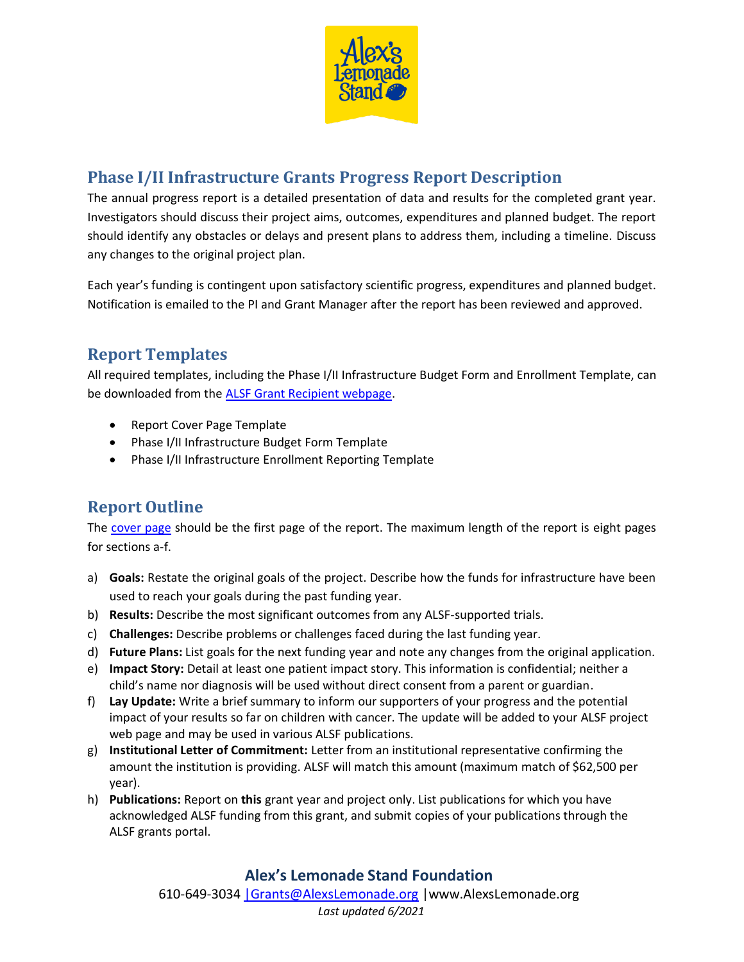

# **Phase I/II Infrastructure Grants Progress Report Description**

The annual progress report is a detailed presentation of data and results for the completed grant year. Investigators should discuss their project aims, outcomes, expenditures and planned budget. The report should identify any obstacles or delays and present plans to address them, including a timeline. Discuss any changes to the original project plan.

Each year's funding is contingent upon satisfactory scientific progress, expenditures and planned budget. Notification is emailed to the PI and Grant Manager after the report has been reviewed and approved.

## **Report Templates**

All required templates, including the Phase I/II Infrastructure Budget Form and Enrollment Template, can be downloaded from the [ALSF Grant Recipient webpage.](https://www.alexslemonade.org/researchers-reviewers/recipients)

- Report Cover Page Template
- Phase I/II Infrastructure Budget Form Template
- Phase I/II Infrastructure Enrollment Reporting Template

## **Report Outline**

The [cover page](https://www.alexslemonade.org/sites/default/files/alsf_report_cover_page_2020.docx) should be the first page of the report. The maximum length of the report is eight pages for sections a-f.

- a) **Goals:** Restate the original goals of the project. Describe how the funds for infrastructure have been used to reach your goals during the past funding year.
- b) **Results:** Describe the most significant outcomes from any ALSF-supported trials.
- c) **Challenges:** Describe problems or challenges faced during the last funding year.
- d) **Future Plans:** List goals for the next funding year and note any changes from the original application.
- e) **Impact Story:** Detail at least one patient impact story. This information is confidential; neither a child's name nor diagnosis will be used without direct consent from a parent or guardian.
- f) **Lay Update:** Write a brief summary to inform our supporters of your progress and the potential impact of your results so far on children with cancer. The update will be added to your ALSF project web page and may be used in various ALSF publications.
- g) **Institutional Letter of Commitment:** Letter from an institutional representative confirming the amount the institution is providing. ALSF will match this amount (maximum match of \$62,500 per year).
- h) **Publications:** Report on **this** grant year and project only. List publications for which you have acknowledged ALSF funding from this grant, and submit copies of your publications through the ALSF grants portal.

### **Alex's Lemonade Stand Foundation**

610-649-3034 Grants@AlexsLemonade.org | www[.AlexsLemonade.org](http://www.alexslemonade.com/) *Last updated 6/2021*